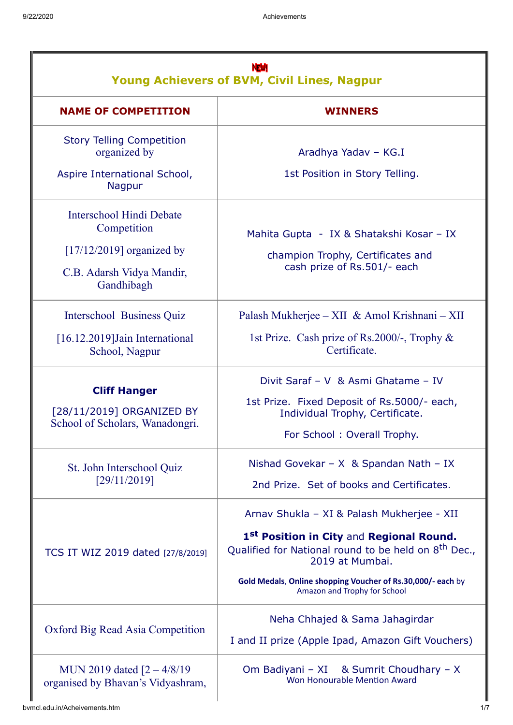| NW<br><b>Young Achievers of BVM, Civil Lines, Nagpur</b>                            |                                                                                                                                                                                                                                                                                          |  |
|-------------------------------------------------------------------------------------|------------------------------------------------------------------------------------------------------------------------------------------------------------------------------------------------------------------------------------------------------------------------------------------|--|
| <b>NAME OF COMPETITION</b>                                                          | <b>WINNERS</b>                                                                                                                                                                                                                                                                           |  |
| <b>Story Telling Competition</b><br>organized by                                    | Aradhya Yadav - KG.I                                                                                                                                                                                                                                                                     |  |
| Aspire International School,<br>Nagpur                                              | 1st Position in Story Telling.                                                                                                                                                                                                                                                           |  |
| <b>Interschool Hindi Debate</b><br>Competition                                      | Mahita Gupta - IX & Shatakshi Kosar - IX                                                                                                                                                                                                                                                 |  |
| $[17/12/2019]$ organized by<br>C.B. Adarsh Vidya Mandir,<br>Gandhibagh              | champion Trophy, Certificates and<br>cash prize of Rs.501/- each                                                                                                                                                                                                                         |  |
| Interschool Business Quiz                                                           | Palash Mukherjee – XII & Amol Krishnani – XII                                                                                                                                                                                                                                            |  |
| [16.12.2019]Jain International<br>School, Nagpur                                    | 1st Prize. Cash prize of Rs.2000/-, Trophy &<br>Certificate.                                                                                                                                                                                                                             |  |
| <b>Cliff Hanger</b><br>[28/11/2019] ORGANIZED BY<br>School of Scholars, Wanadongri. | Divit Saraf - V & Asmi Ghatame - IV<br>1st Prize. Fixed Deposit of Rs.5000/- each,<br>Individual Trophy, Certificate.<br>For School: Overall Trophy.                                                                                                                                     |  |
| St. John Interschool Quiz<br>[29/11/2019]                                           | Nishad Govekar - $X$ & Spandan Nath - IX<br>2nd Prize. Set of books and Certificates.                                                                                                                                                                                                    |  |
| TCS IT WIZ 2019 dated [27/8/2019]                                                   | Arnav Shukla - XI & Palash Mukherjee - XII<br>1 <sup>st</sup> Position in City and Regional Round.<br>Qualified for National round to be held on 8 <sup>th</sup> Dec.,<br>2019 at Mumbai.<br>Gold Medals, Online shopping Voucher of Rs.30,000/- each by<br>Amazon and Trophy for School |  |
| Oxford Big Read Asia Competition                                                    | Neha Chhajed & Sama Jahagirdar<br>I and II prize (Apple Ipad, Amazon Gift Vouchers)                                                                                                                                                                                                      |  |
| MUN 2019 dated $[2 - 4/8/19]$<br>organised by Bhavan's Vidyashram,                  | Om Badiyani - XI & Sumrit Choudhary - X<br>Won Honourable Mention Award                                                                                                                                                                                                                  |  |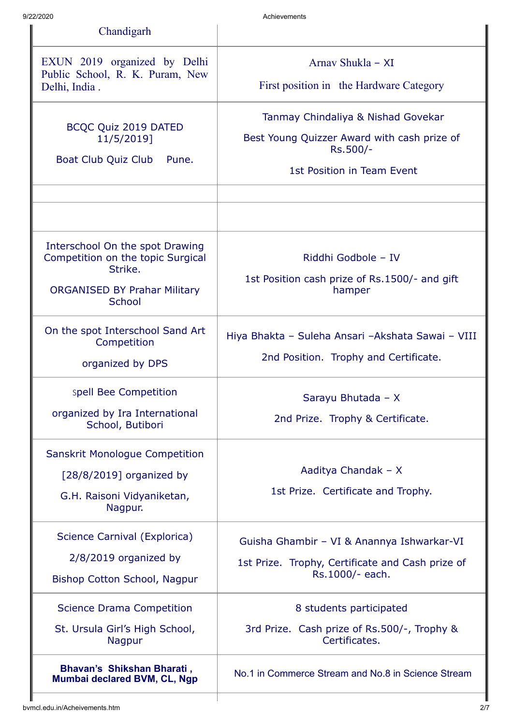| 9/22/2020                                                                                                                        | Achievements                                                                                                                |  |  |
|----------------------------------------------------------------------------------------------------------------------------------|-----------------------------------------------------------------------------------------------------------------------------|--|--|
| Chandigarh                                                                                                                       |                                                                                                                             |  |  |
| EXUN 2019 organized by Delhi<br>Public School, R. K. Puram, New<br>Delhi, India.                                                 | Arnav Shukla - XI<br>First position in the Hardware Category                                                                |  |  |
| BCQC Quiz 2019 DATED<br>11/5/2019]<br>Boat Club Quiz Club<br>Pune.                                                               | Tanmay Chindaliya & Nishad Govekar<br>Best Young Quizzer Award with cash prize of<br>Rs.500/-<br>1st Position in Team Event |  |  |
| Interschool On the spot Drawing<br>Competition on the topic Surgical<br>Strike.<br><b>ORGANISED BY Prahar Military</b><br>School | Riddhi Godbole - IV<br>1st Position cash prize of Rs.1500/- and gift<br>hamper                                              |  |  |
| On the spot Interschool Sand Art<br>Competition<br>organized by DPS                                                              | Hiya Bhakta - Suleha Ansari - Akshata Sawai - VIII<br>2nd Position. Trophy and Certificate.                                 |  |  |
| spell Bee Competition<br>organized by Ira International<br>School, Butibori                                                      | Sarayu Bhutada - X<br>2nd Prize. Trophy & Certificate.                                                                      |  |  |
| <b>Sanskrit Monologue Competition</b><br>$[28/8/2019]$ organized by<br>G.H. Raisoni Vidyaniketan,<br>Nagpur.                     | Aaditya Chandak - X<br>1st Prize. Certificate and Trophy.                                                                   |  |  |
| Science Carnival (Explorica)<br>$2/8/2019$ organized by<br>Bishop Cotton School, Nagpur                                          | Guisha Ghambir - VI & Anannya Ishwarkar-VI<br>1st Prize. Trophy, Certificate and Cash prize of<br>Rs.1000/- each.           |  |  |
| <b>Science Drama Competition</b><br>St. Ursula Girl's High School,<br>Nagpur                                                     | 8 students participated<br>3rd Prize. Cash prize of Rs.500/-, Trophy &<br>Certificates.                                     |  |  |
| Bhavan's Shikshan Bharati,<br>Mumbai declared BVM, CL, Ngp                                                                       | No.1 in Commerce Stream and No.8 in Science Stream                                                                          |  |  |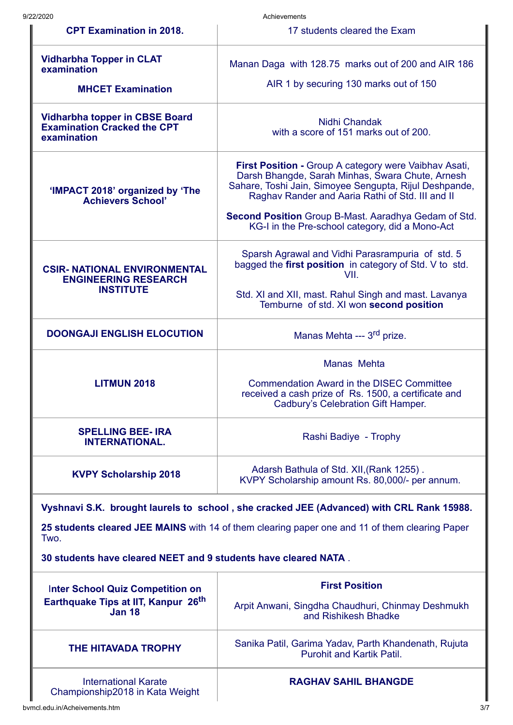| 9/22/2020                                                                                                   | Achievements                                                                                                                                                                                                            |  |  |
|-------------------------------------------------------------------------------------------------------------|-------------------------------------------------------------------------------------------------------------------------------------------------------------------------------------------------------------------------|--|--|
| <b>CPT Examination in 2018.</b>                                                                             | 17 students cleared the Exam                                                                                                                                                                                            |  |  |
| <b>Vidharbha Topper in CLAT</b><br>examination                                                              | Manan Daga with 128.75 marks out of 200 and AIR 186                                                                                                                                                                     |  |  |
| <b>MHCET Examination</b>                                                                                    | AIR 1 by securing 130 marks out of 150                                                                                                                                                                                  |  |  |
| <b>Vidharbha topper in CBSE Board</b><br><b>Examination Cracked the CPT</b><br>examination                  | Nidhi Chandak<br>with a score of 151 marks out of 200.                                                                                                                                                                  |  |  |
| 'IMPACT 2018' organized by 'The<br><b>Achievers School'</b>                                                 | First Position - Group A category were Vaibhav Asati,<br>Darsh Bhangde, Sarah Minhas, Swara Chute, Arnesh<br>Sahare, Toshi Jain, Simoyee Sengupta, Rijul Deshpande,<br>Raghav Rander and Aaria Rathi of Std. III and II |  |  |
|                                                                                                             | Second Position Group B-Mast. Aaradhya Gedam of Std.<br>KG-I in the Pre-school category, did a Mono-Act                                                                                                                 |  |  |
| <b>CSIR- NATIONAL ENVIRONMENTAL</b><br><b>ENGINEERING RESEARCH</b><br><b>INSTITUTE</b>                      | Sparsh Agrawal and Vidhi Parasrampuria of std. 5<br>bagged the first position in category of Std. V to std.<br>VII.                                                                                                     |  |  |
|                                                                                                             | Std. XI and XII, mast. Rahul Singh and mast. Lavanya<br>Temburne of std. XI won second position                                                                                                                         |  |  |
| <b>DOONGAJI ENGLISH ELOCUTION</b>                                                                           | Manas Mehta --- 3 <sup>rd</sup> prize.                                                                                                                                                                                  |  |  |
|                                                                                                             | Manas Mehta                                                                                                                                                                                                             |  |  |
| <b>LITMUN 2018</b>                                                                                          | <b>Commendation Award in the DISEC Committee</b><br>received a cash prize of Rs. 1500, a certificate and<br>Cadbury's Celebration Gift Hamper.                                                                          |  |  |
| <b>SPELLING BEE-IRA</b><br><b>INTERNATIONAL.</b>                                                            | Rashi Badiye - Trophy                                                                                                                                                                                                   |  |  |
| <b>KVPY Scholarship 2018</b>                                                                                | Adarsh Bathula of Std. XII, (Rank 1255).<br>KVPY Scholarship amount Rs. 80,000/- per annum.                                                                                                                             |  |  |
|                                                                                                             | Vyshnavi S.K. brought laurels to school, she cracked JEE (Advanced) with CRL Rank 15988.                                                                                                                                |  |  |
| Two.                                                                                                        | 25 students cleared JEE MAINS with 14 of them clearing paper one and 11 of them clearing Paper                                                                                                                          |  |  |
| 30 students have cleared NEET and 9 students have cleared NATA.                                             |                                                                                                                                                                                                                         |  |  |
| <b>Inter School Quiz Competition on</b><br>Earthquake Tips at IIT, Kanpur 26 <sup>th</sup><br><b>Jan 18</b> | <b>First Position</b>                                                                                                                                                                                                   |  |  |
|                                                                                                             | Arpit Anwani, Singdha Chaudhuri, Chinmay Deshmukh<br>and Rishikesh Bhadke                                                                                                                                               |  |  |
| <b>THE HITAVADA TROPHY</b>                                                                                  | Sanika Patil, Garima Yadav, Parth Khandenath, Rujuta<br><b>Purohit and Kartik Patil.</b>                                                                                                                                |  |  |
| <b>International Karate</b>                                                                                 | <b>RAGHAV SAHIL BHANGDE</b>                                                                                                                                                                                             |  |  |

I

Championship2018 in Kata Weight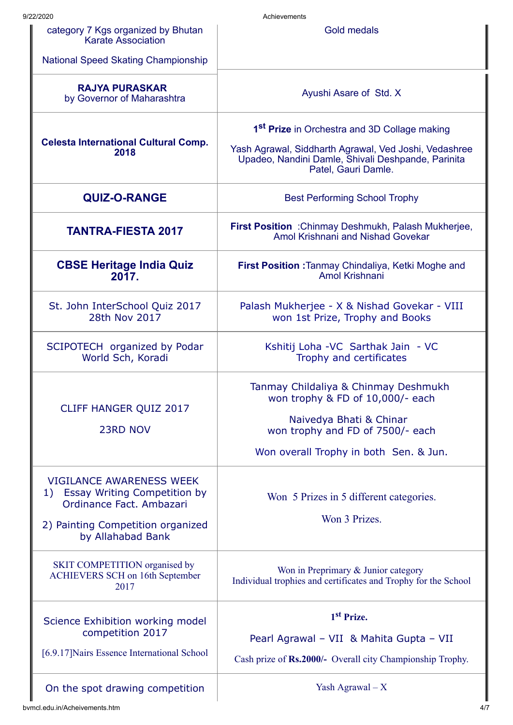| 9/22/2020                                                                                                                                                   | Achievements                                                                                                                                                                                   |
|-------------------------------------------------------------------------------------------------------------------------------------------------------------|------------------------------------------------------------------------------------------------------------------------------------------------------------------------------------------------|
| category 7 Kgs organized by Bhutan<br>Karate Association                                                                                                    | <b>Gold medals</b>                                                                                                                                                                             |
| <b>National Speed Skating Championship</b>                                                                                                                  |                                                                                                                                                                                                |
| <b>RAJYA PURASKAR</b><br>by Governor of Maharashtra                                                                                                         | Ayushi Asare of Std. X                                                                                                                                                                         |
| <b>Celesta International Cultural Comp.</b><br>2018                                                                                                         | 1 <sup>st</sup> Prize in Orchestra and 3D Collage making<br>Yash Agrawal, Siddharth Agrawal, Ved Joshi, Vedashree<br>Upadeo, Nandini Damle, Shivali Deshpande, Parinita<br>Patel, Gauri Damle. |
| <b>QUIZ-O-RANGE</b>                                                                                                                                         | <b>Best Performing School Trophy</b>                                                                                                                                                           |
| <b>TANTRA-FIESTA 2017</b>                                                                                                                                   | First Position : Chinmay Deshmukh, Palash Mukherjee,<br>Amol Krishnani and Nishad Govekar                                                                                                      |
| <b>CBSE Heritage India Quiz</b><br>2017.                                                                                                                    | First Position : Tanmay Chindaliya, Ketki Moghe and<br>Amol Krishnani                                                                                                                          |
| St. John InterSchool Quiz 2017<br>28th Nov 2017                                                                                                             | Palash Mukherjee - X & Nishad Govekar - VIII<br>won 1st Prize, Trophy and Books                                                                                                                |
| SCIPOTECH organized by Podar<br>World Sch, Koradi                                                                                                           | Kshitij Loha - VC Sarthak Jain - VC<br>Trophy and certificates                                                                                                                                 |
| CLIFF HANGER QUIZ 2017<br>23RD NOV                                                                                                                          | Tanmay Childaliya & Chinmay Deshmukh<br>won trophy & FD of 10,000/- each<br>Naivedya Bhati & Chinar<br>won trophy and FD of 7500/- each<br>Won overall Trophy in both Sen. & Jun.              |
| <b>VIGILANCE AWARENESS WEEK</b><br>Essay Writing Competition by<br>1)<br>Ordinance Fact. Ambazari<br>2) Painting Competition organized<br>by Allahabad Bank | Won 5 Prizes in 5 different categories.<br>Won 3 Prizes.                                                                                                                                       |
| SKIT COMPETITION organised by<br><b>ACHIEVERS SCH on 16th September</b><br>2017                                                                             | Won in Preprimary & Junior category<br>Individual trophies and certificates and Trophy for the School                                                                                          |
| Science Exhibition working model<br>competition 2017<br>[6.9.17] Nairs Essence International School                                                         | 1 <sup>st</sup> Prize.<br>Pearl Agrawal - VII & Mahita Gupta - VII<br>Cash prize of Rs.2000/- Overall city Championship Trophy.                                                                |
|                                                                                                                                                             |                                                                                                                                                                                                |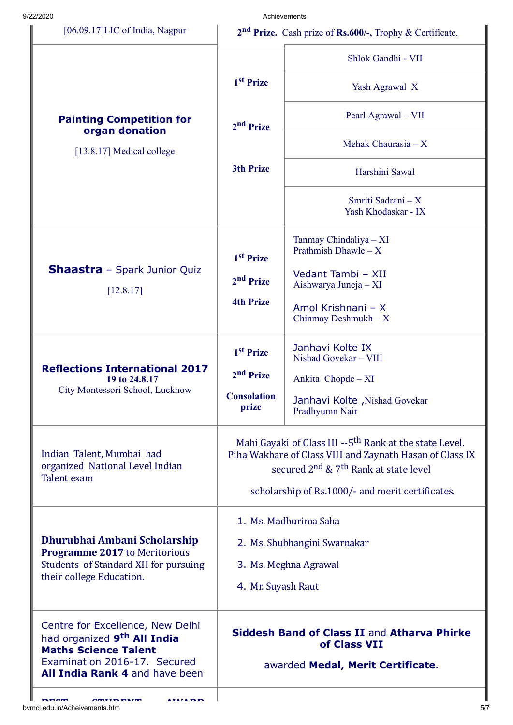| 9/22/2020                                                                                                                                                                    |                                                                                                                                                                                                                                                      | Achievements                                     |
|------------------------------------------------------------------------------------------------------------------------------------------------------------------------------|------------------------------------------------------------------------------------------------------------------------------------------------------------------------------------------------------------------------------------------------------|--------------------------------------------------|
| [06.09.17]LIC of India, Nagpur                                                                                                                                               | $2nd$ Prize. Cash prize of Rs.600/-, Trophy & Certificate.                                                                                                                                                                                           |                                                  |
|                                                                                                                                                                              |                                                                                                                                                                                                                                                      | Shlok Gandhi - VII                               |
|                                                                                                                                                                              | 1 <sup>st</sup> Prize                                                                                                                                                                                                                                | Yash Agrawal X                                   |
| <b>Painting Competition for</b>                                                                                                                                              | 2 <sup>nd</sup> Prize                                                                                                                                                                                                                                | Pearl Agrawal - VII                              |
| organ donation<br>[13.8.17] Medical college                                                                                                                                  |                                                                                                                                                                                                                                                      | Mehak Chaurasia $-X$                             |
|                                                                                                                                                                              | <b>3th Prize</b>                                                                                                                                                                                                                                     | Harshini Sawal                                   |
|                                                                                                                                                                              |                                                                                                                                                                                                                                                      | Smriti Sadrani - X<br>Yash Khodaskar - IX        |
| <b>Shaastra</b> - Spark Junior Quiz<br>[12.8.17]                                                                                                                             | 1 <sup>st</sup> Prize                                                                                                                                                                                                                                | Tanmay Chindaliya - XI<br>Prathmish Dhawle $-X$  |
|                                                                                                                                                                              | 2 <sup>nd</sup> Prize                                                                                                                                                                                                                                | Vedant Tambi - XII<br>Aishwarya Juneja - XI      |
|                                                                                                                                                                              | <b>4th Prize</b>                                                                                                                                                                                                                                     | Amol Krishnani - X<br>Chinmay Deshmukh $-X$      |
|                                                                                                                                                                              | 1 <sup>st</sup> Prize                                                                                                                                                                                                                                | Janhavi Kolte IX<br>Nishad Govekar - VIII        |
| <b>Reflections International 2017</b><br>19 to 24.8.17                                                                                                                       | 2 <sup>nd</sup> Prize                                                                                                                                                                                                                                | Ankita Chopde - XI                               |
| City Montessori School, Lucknow                                                                                                                                              | <b>Consolation</b><br>prize                                                                                                                                                                                                                          | Janhavi Kolte , Nishad Govekar<br>Pradhyumn Nair |
| Indian Talent, Mumbai had<br>organized National Level Indian<br>Talent exam                                                                                                  | Mahi Gayaki of Class III --5 <sup>th</sup> Rank at the state Level.<br>Piha Wakhare of Class VIII and Zaynath Hasan of Class IX<br>secured 2 <sup>nd</sup> & 7 <sup>th</sup> Rank at state level<br>scholarship of Rs.1000/- and merit certificates. |                                                  |
| Dhurubhai Ambani Scholarship<br>Programme 2017 to Meritorious<br>Students of Standard XII for pursuing<br>their college Education.                                           | 1. Ms. Madhurima Saha                                                                                                                                                                                                                                |                                                  |
|                                                                                                                                                                              | 2. Ms. Shubhangini Swarnakar                                                                                                                                                                                                                         |                                                  |
|                                                                                                                                                                              | 3. Ms. Meghna Agrawal                                                                                                                                                                                                                                |                                                  |
|                                                                                                                                                                              | 4. Mr. Suyash Raut                                                                                                                                                                                                                                   |                                                  |
| Centre for Excellence, New Delhi<br>had organized 9 <sup>th</sup> All India<br><b>Maths Science Talent</b><br>Examination 2016-17. Secured<br>All India Rank 4 and have been | Siddesh Band of Class II and Atharva Phirke<br>of Class VII<br>awarded Medal, Merit Certificate.                                                                                                                                                     |                                                  |
|                                                                                                                                                                              |                                                                                                                                                                                                                                                      |                                                  |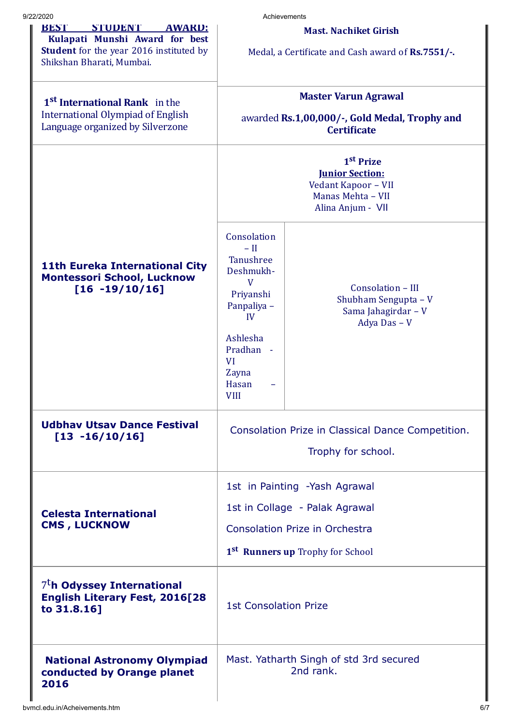| 9/22/2020                                                                                                                                                       | Achievements                                                                                                                                                         |                                                                                  |
|-----------------------------------------------------------------------------------------------------------------------------------------------------------------|----------------------------------------------------------------------------------------------------------------------------------------------------------------------|----------------------------------------------------------------------------------|
| <b>STUDENT</b><br><b>REST</b><br><b>AWAKD:</b><br>Kulapati Munshi Award for best<br><b>Student</b> for the year 2016 instituted by<br>Shikshan Bharati, Mumbai. | <b>Mast. Nachiket Girish</b><br>Medal, a Certificate and Cash award of Rs.7551/-.                                                                                    |                                                                                  |
| 1 <sup>st</sup> International Rank in the<br><b>International Olympiad of English</b><br>Language organized by Silverzone                                       | <b>Master Varun Agrawal</b><br>awarded Rs.1,00,000/-, Gold Medal, Trophy and<br><b>Certificate</b>                                                                   |                                                                                  |
|                                                                                                                                                                 | 1 <sup>st</sup> Prize<br><b>Junior Section:</b><br>Vedant Kapoor - VII<br>Manas Mehta - VII<br>Alina Anjum - VII                                                     |                                                                                  |
| <b>11th Eureka International City</b><br><b>Montessori School, Lucknow</b><br>$[16 -19/10/16]$                                                                  | Consolation<br>$-$ II<br><b>Tanushree</b><br>Deshmukh-<br>V<br>Priyanshi<br>Panpaliya -<br>IV<br>Ashlesha<br>Pradhan -<br><b>VI</b><br>Zayna<br>Hasan<br><b>VIII</b> | Consolation - III<br>Shubham Sengupta - V<br>Sama Jahagirdar - V<br>Adya Das - V |
| <b>Udbhav Utsav Dance Festival</b><br>$[13 -16/10/16]$                                                                                                          | Consolation Prize in Classical Dance Competition.<br>Trophy for school.                                                                                              |                                                                                  |
| <b>Celesta International</b><br><b>CMS, LUCKNOW</b>                                                                                                             | 1st in Painting -Yash Agrawal<br>1st in Collage - Palak Agrawal<br><b>Consolation Prize in Orchestra</b><br>1 <sup>st</sup> Runners up Trophy for School             |                                                                                  |
| $7T$ h Odyssey International<br><b>English Literary Fest, 2016[28</b><br>to 31.8.16]                                                                            | <b>1st Consolation Prize</b>                                                                                                                                         |                                                                                  |
| <b>National Astronomy Olympiad</b><br>conducted by Orange planet<br>2016                                                                                        | Mast. Yatharth Singh of std 3rd secured<br>2nd rank.                                                                                                                 |                                                                                  |